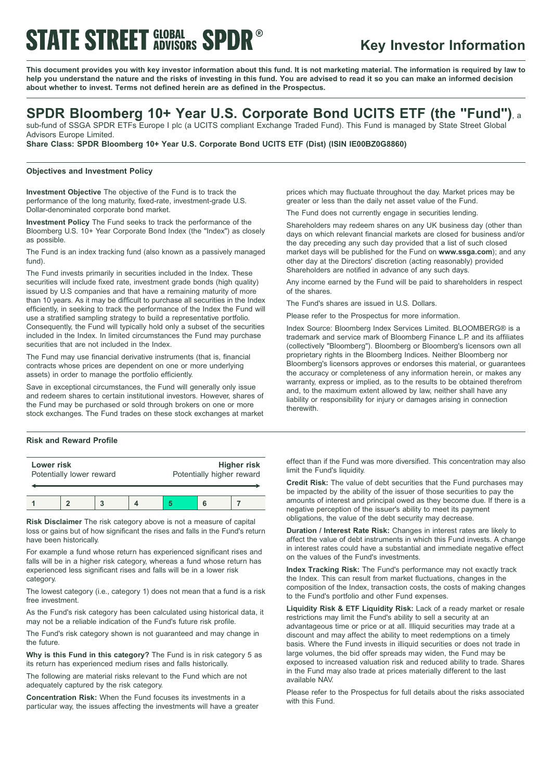# **STATE STREET GLOBAL SPDR®**

# **Key Investor Information**

This document provides you with key investor information about this fund. It is not marketing material. The information is required by law to help you understand the nature and the risks of investing in this fund. You are advised to read it so you can make an informed decision **about whether to invest. Terms not defined herein are as defined in the Prospectus.**

## **SPDR Bloomberg 10+ Year U.S. Corporate Bond UCITS ETF (the "Fund")**, <sup>a</sup>

sub-fund of SSGA SPDR ETFs Europe I plc (a UCITS compliant Exchange Traded Fund). This Fund is managed by State Street Global Advisors Europe Limited.

**Share Class: SPDR Bloomberg 10+ Year U.S. Corporate Bond UCITS ETF (Dist) (ISIN IE00BZ0G8860)**

### **Objectives and Investment Policy**

**Investment Objective** The objective of the Fund is to track the performance of the long maturity, fixed-rate, investment-grade U.S. Dollar-denominated corporate bond market.

**Investment Policy** The Fund seeks to track the performance of the Bloomberg U.S. 10+ Year Corporate Bond Index (the "Index") as closely as possible.

The Fund is an index tracking fund (also known as a passively managed fund).

The Fund invests primarily in securities included in the Index. These securities will include fixed rate, investment grade bonds (high quality) issued by U.S companies and that have a remaining maturity of more than 10 years. As it may be difficult to purchase all securities in the Index efficiently, in seeking to track the performance of the Index the Fund will use a stratified sampling strategy to build a representative portfolio. Consequently, the Fund will typically hold only a subset of the securities included in the Index. In limited circumstances the Fund may purchase securities that are not included in the Index.

The Fund may use financial derivative instruments (that is, financial contracts whose prices are dependent on one or more underlying assets) in order to manage the portfolio efficiently.

Save in exceptional circumstances, the Fund will generally only issue and redeem shares to certain institutional investors. However, shares of the Fund may be purchased or sold through brokers on one or more stock exchanges. The Fund trades on these stock exchanges at market

## **Risk and Reward Profile**

| Lower risk<br>Potentially lower reward |  |  | <b>Higher risk</b><br>Potentially higher reward |  |  |
|----------------------------------------|--|--|-------------------------------------------------|--|--|
|                                        |  |  |                                                 |  |  |

**Risk Disclaimer** The risk category above is not a measure of capital loss or gains but of how significant the rises and falls in the Fund's return have been historically.

For example a fund whose return has experienced significant rises and falls will be in a higher risk category, whereas a fund whose return has experienced less significant rises and falls will be in a lower risk category.

The lowest category (i.e., category 1) does not mean that a fund is a risk free investment.

As the Fund's risk category has been calculated using historical data, it may not be a reliable indication of the Fund's future risk profile.

The Fund's risk category shown is not guaranteed and may change in the future.

**Why is this Fund in this category?** The Fund is in risk category 5 as its return has experienced medium rises and falls historically.

The following are material risks relevant to the Fund which are not adequately captured by the risk category.

**Concentration Risk:** When the Fund focuses its investments in a particular way, the issues affecting the investments will have a greater

prices which may fluctuate throughout the day. Market prices may be greater or less than the daily net asset value of the Fund.

The Fund does not currently engage in securities lending.

Shareholders may redeem shares on any UK business day (other than days on which relevant financial markets are closed for business and/or the day preceding any such day provided that a list of such closed market days will be published for the Fund on **www.ssga.com**); and any other day at the Directors' discretion (acting reasonably) provided Shareholders are notified in advance of any such days.

Any income earned by the Fund will be paid to shareholders in respect of the shares.

The Fund's shares are issued in U.S. Dollars.

Please refer to the Prospectus for more information.

Index Source: Bloomberg Index Services Limited. BLOOMBERG® is a trademark and service mark of Bloomberg Finance L.P. and its affiliates (collectively "Bloomberg"). Bloomberg or Bloomberg's licensors own all proprietary rights in the Bloomberg Indices. Neither Bloomberg nor Bloomberg's licensors approves or endorses this material, or guarantees the accuracy or completeness of any information herein, or makes any warranty, express or implied, as to the results to be obtained therefrom and, to the maximum extent allowed by law, neither shall have any liability or responsibility for injury or damages arising in connection therewith.

effect than if the Fund was more diversified. This concentration may also limit the Fund's liquidity.

**Credit Risk:** The value of debt securities that the Fund purchases may be impacted by the ability of the issuer of those securities to pay the amounts of interest and principal owed as they become due. If there is a negative perception of the issuer's ability to meet its payment obligations, the value of the debt security may decrease.

**Duration / Interest Rate Risk:** Changes in interest rates are likely to affect the value of debt instruments in which this Fund invests. A change in interest rates could have a substantial and immediate negative effect on the values of the Fund's investments.

**Index Tracking Risk:** The Fund's performance may not exactly track the Index. This can result from market fluctuations, changes in the composition of the Index, transaction costs, the costs of making changes to the Fund's portfolio and other Fund expenses.

**Liquidity Risk & ETF Liquidity Risk:** Lack of a ready market or resale restrictions may limit the Fund's ability to sell a security at an advantageous time or price or at all. Illiquid securities may trade at a discount and may affect the ability to meet redemptions on a timely basis. Where the Fund invests in illiquid securities or does not trade in large volumes, the bid offer spreads may widen, the Fund may be exposed to increased valuation risk and reduced ability to trade. Shares in the Fund may also trade at prices materially different to the last available NAV.

Please refer to the Prospectus for full details about the risks associated with this Fund.